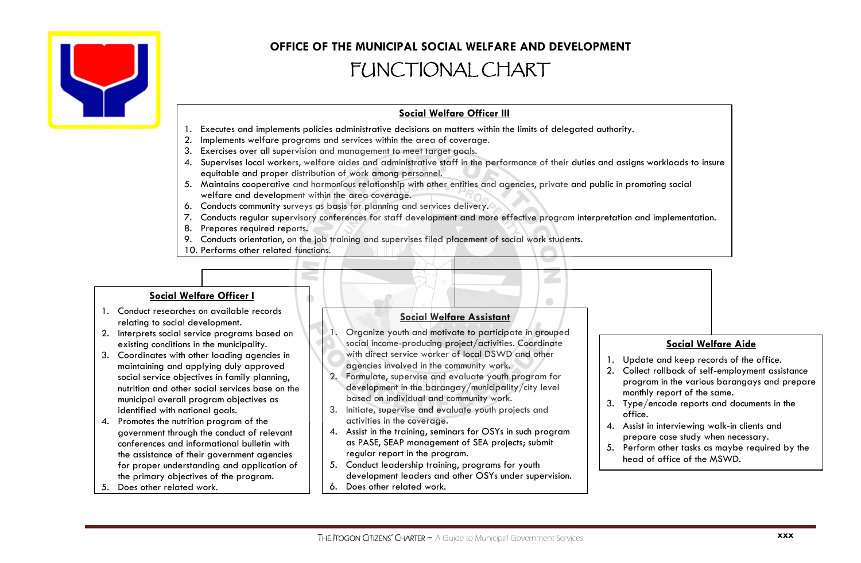

# **OFFICE OF THE MUNICIPAL SOCIAL WELFARE AND DEVELOPMENT** FUNCTIONAL CHART

## **Social Welfare Officer III**

- 1. Executes and implements policies administrative decisions on matters within the limits of delegated authority.
- 2. Implements welfare programs and services within the area of coverage.
- 3. Exercises over all supervision and management to meet target goals.
- 4. Supervises local workers, welfare aides and administrative staff in the performance of their duties and assigns workloads to insure equitable and proper distribution of work among personnel.
- 5. Maintains cooperative and harmonious relationship with other entities and agencies, private and public in promoting social welfare and development within the area coverage.
- 6. Conducts community surveys as basis for planning and services delivery.
- 7. Conducts regular supervisory conferences for staff development and more effective program interpretation and implementation.
- 8. Prepares required reports.
- 9. Conducts orientation, on the job training and supervises filed placement of social work students.
- 10. Performs other related functions.

### **Social Welfare Officer I**

- 1. Conduct researches on available records relating to social development.
- 2. Interprets social service programs based on existing conditions in the municipality.
- 3. Coordinates with other loading agencies in maintaining and applying duly approved social service objectives in family planning, nutrition and other social services base on the municipal overall program objectives as identified with national goals.
- 4. Promotes the nutrition program of the government through the conduct of relevant conferences and informational bulletin with the assistance of their government agencies for proper understanding and application of the primary objectives of the program.
- 5. Does other related work.

#### **Social Welfare Assistant**

 $\bullet$ 

- 1. Organize youth and motivate to participate in grouped social income-producing project/activities. Coordinate with direct service worker of local DSWD and other agencies involved in the community work.
- 2. Formulate, supervise and evaluate youth program for development in the barangay/municipality/city level based on individual and community work.
- 3. Initiate, supervise and evaluate youth projects and activities in the coverage.
- 4. Assist in the training, seminars for OSYs in such program as PASE, SEAP management of SEA projects; submit regular report in the program.
- 5. Conduct leadership training, programs for youth development leaders and other OSYs under supervision.
- 6. Does other related work.

#### **Social Welfare Aide**

- 1. Update and keep records of the office.
- 2. Collect rollback of self-employment assistance program in the various barangays and prepare monthly report of the same.
- 3. Type/encode reports and documents in the office.
- 4. Assist in interviewing walk-in clients and prepare case study when necessary.
- 5. Perform other tasks as maybe required by the head of office of the MSWD.